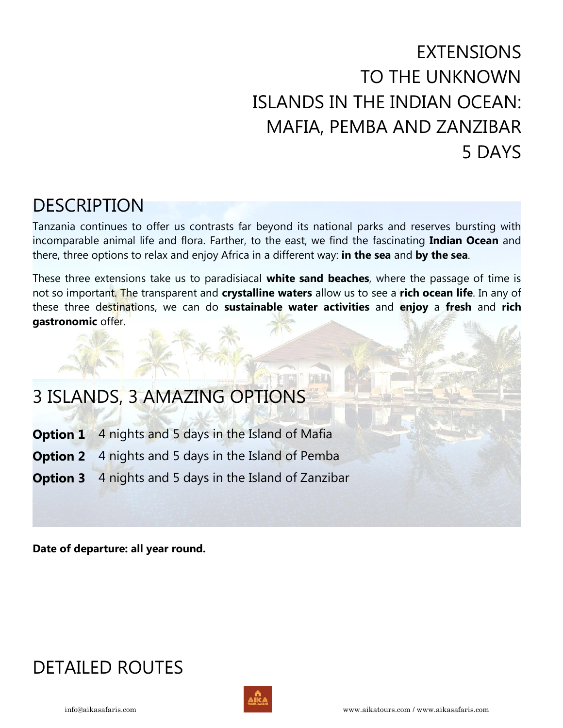# EXTENSIONS TO THE UNKNOWN ISLANDS IN THE INDIAN OCEAN: MAFIA, PEMBA AND ZANZIBAR 5 DAYS

# DESCRIPTION

Tanzania continues to offer us contrasts far beyond its national parks and reserves bursting with incomparable animal life and flora. Farther, to the east, we find the fascinating **Indian Ocean** and there, three options to relax and enjoy Africa in a different way: **in the sea** and **by the sea**.

These three extensions take us to paradisiacal **white sand beaches**, where the passage of time is not so important. The transparent and **crystalline waters** allow us to see a **rich ocean life**. In any of these three destinations, we can do **sustainable water activities** and **enjoy** a **fresh** and **rich gastronomic** offer.

# 3 ISLANDS, 3 AMAZING OPTIONS

- **Option 1** 4 nights and 5 days in the Island of Mafia
- **Option 2** 4 nights and 5 days in the Island of Pemba
- **Option 3** 4 nights and 5 days in the Island of Zanzibar

**Date of departure: all year round.** 

# DETAILED ROUTES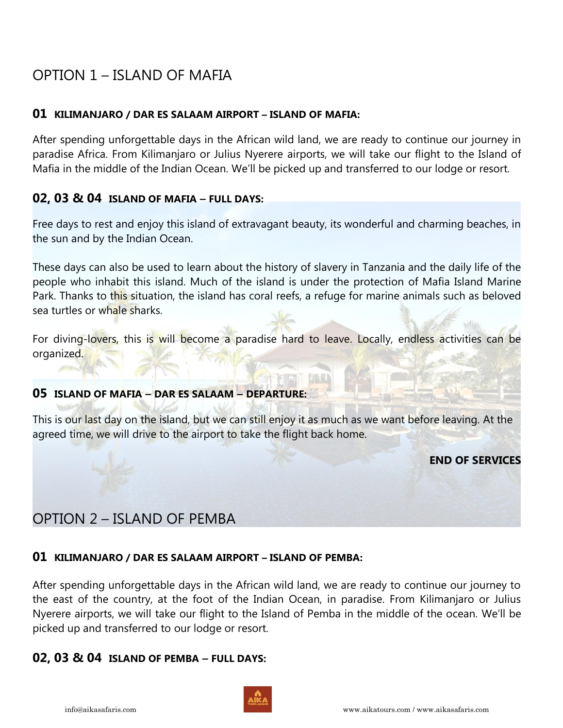## OPTION 1 – ISLAND OF MAFIA

## **01 KILIMANJARO / DAR ES SALAAM AIRPORT – ISLAND OF MAFIA:**

After spending unforgettable days in the African wild land, we are ready to continue our journey in paradise Africa. From Kilimanjaro or Julius Nyerere airports, we will take our flight to the Island of Mafia in the middle of the Indian Ocean. We'll be picked up and transferred to our lodge or resort.

## **02, 03 & 04 ISLAND OF MAFIA — FULL DAYS:**

Free days to rest and enjoy this island of extravagant beauty, its wonderful and charming beaches, in the sun and by the Indian Ocean.

These days can also be used to learn about the history of slavery in Tanzania and the daily life of the people who inhabit this island. Much of the island is under the protection of Mafia Island Marine Park. Thanks to this situation, the island has coral reefs, a refuge for marine animals such as beloved sea turtles or whale sharks.

For diving-lovers, this is will become a paradise hard to leave. Locally, endless activities can be organized.

## **05 ISLAND OF MAFIA — DAR ES SALAAM — DEPARTURE:**

This is our last day on the island, but we can still enjoy it as much as we want before leaving. At the agreed time, we will drive to the airport to take the flight back home.

**END OF SERVICES**

## OPTION 2 – ISLAND OF PEMBA

## **01 KILIMANJARO / DAR ES SALAAM AIRPORT – ISLAND OF PEMBA:**

After spending unforgettable days in the African wild land, we are ready to continue our journey to the east of the country, at the foot of the Indian Ocean, in paradise. From Kilimanjaro or Julius Nyerere airports, we will take our flight to the Island of Pemba in the middle of the ocean. We'll be picked up and transferred to our lodge or resort.

## **02, 03 & 04 ISLAND OF PEMBA — FULL DAYS:**

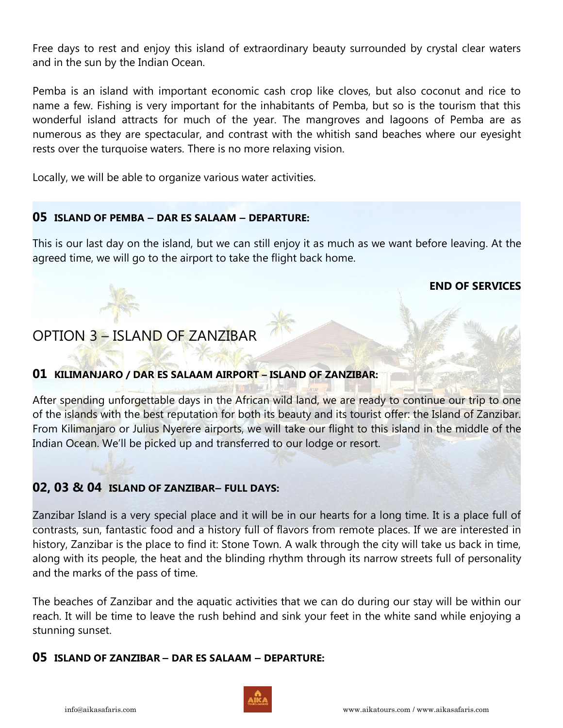Free days to rest and enjoy this island of extraordinary beauty surrounded by crystal clear waters and in the sun by the Indian Ocean.

Pemba is an island with important economic cash crop like cloves, but also coconut and rice to name a few. Fishing is very important for the inhabitants of Pemba, but so is the tourism that this wonderful island attracts for much of the year. The mangroves and lagoons of Pemba are as numerous as they are spectacular, and contrast with the whitish sand beaches where our eyesight rests over the turquoise waters. There is no more relaxing vision.

Locally, we will be able to organize various water activities.

## **05 ISLAND OF PEMBA — DAR ES SALAAM — DEPARTURE:**

This is our last day on the island, but we can still enjoy it as much as we want before leaving. At the agreed time, we will go to the airport to take the flight back home.

## **END OF SERVICES**

## OPTION 3 – ISLAND OF ZANZIBAR

## **01 KILIMANJARO / DAR ES SALAAM AIRPORT – ISLAND OF ZANZIBAR:**

After spending unforgettable days in the African wild land, we are ready to continue our trip to one of the islands with the best reputation for both its beauty and its tourist offer: the Island of Zanzibar. From Kilimanjaro or Julius Nyerere airports, we will take our flight to this island in the middle of the Indian Ocean. We'll be picked up and transferred to our lodge or resort.

## **02, 03 & 04 ISLAND OF ZANZIBAR— FULL DAYS:**

Zanzibar Island is a very special place and it will be in our hearts for a long time. It is a place full of contrasts, sun, fantastic food and a history full of flavors from remote places. If we are interested in history, Zanzibar is the place to find it: Stone Town. A walk through the city will take us back in time, along with its people, the heat and the blinding rhythm through its narrow streets full of personality and the marks of the pass of time.

The beaches of Zanzibar and the aquatic activities that we can do during our stay will be within our reach. It will be time to leave the rush behind and sink your feet in the white sand while enjoying a stunning sunset.

## **05 ISLAND OF ZANZIBAR — DAR ES SALAAM — DEPARTURE:**